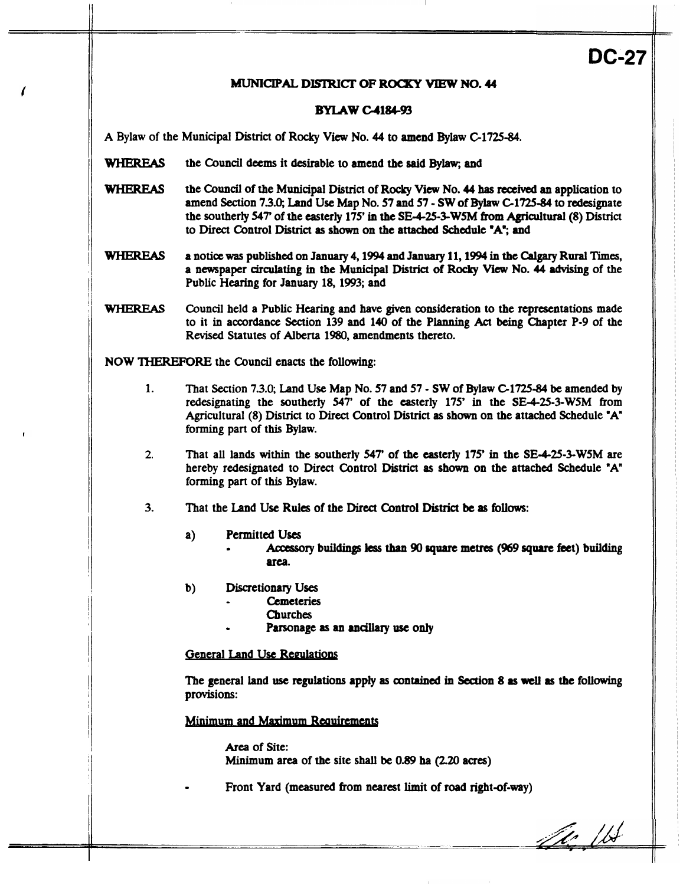**DC-27** 

## MUNICIPAL **DISIRICI' OF ROCKY VIEW NO. 44**

## **BYLAW C-4184-93**

**A** Bylaw of the Municipal **District** of **Rocky** View **No. 44 to** amend **Bylaw C1725-84.** 

- WHEREAS the Council deems it desirable to amend the said Bylaw; and
- WHEREAS the **Council** of the **Municipal District** of **Rocky View No. 44 has** reaived **an** application to amend **Section 73.0;** Land **Use** Map **No. 57** and **57** - **SW** of **Bylaw C1725-84 to** redesignate the southerly *547'* of the easterly **175'** in the **SEd-25-3-WSM from** *Agricultural* **(8) District**  to **Direct** Control **District as** shown **on** the **attached** Schedule **'A';** and
- WHEREAS **a** notice **was** published **on January 4,1994 and January 11,1994** in the *Calgary* **Rural Times,**  a newspaper circulating in the **Municipal District** of **Rocky View No. 44** advising **of** the Public Hearing for **January 18,1993;** and
- WHEREAS Council held **a** Public Hearing and have given consideration to the representations made to it in accordance Section 139 and **140** of the Planning *Act* being Chapter P-9 of the **Raised** Statutes of **Alberta 1980,** amendments thereto.

**NOW** THEREFORE the **Council enacts** the following:

- **1.** Tbat Section **7.3.0;** Land **Use** Map **No. 57** and **57**  SW of **Bylaw C1725-84 be** amended by redesignating the southerly 547' of the easterly 175' in the SE-4-25-3-W5M from Agricultural (8) **District** to **Direct Control District as** shown **on** the attached Schedule **'A"**  forming **part** of this Bylaw.
- **2.** That all lands **within** the southerly **547'** of the easterly **175'** in the SE425-3-WSM are hereby redesignated to **Direct Control District as shown on** the attached Schedule **"A"**  forming **part** of this **Bylaw.**
- **3.** That the Land **Use Rules** of the **Direct** Control **District be as fbllows:** 
	- a) **Permitted Uses** 
		- *<sup>0</sup>AccGfsory* **buildings less** than **90 square mettcs** *(969 square* bet) **building area.**
	- b) Discretionary Uses
		- **Cemeteries** 
			- Churches
		- *<sup>0</sup>*Parsonage **as an ancillary** *use only*

**General Land Use Regulations** 

The general land *use* **regulations** apply **as contained** in **Section 8 as weU as** the **following**  provisions:

Minimum and Maximum Requirements

*Area* of Site: Minimum area of **the** site **shall be 0.89** ha *(220* **acres)** 

Front Yard (measured from nearest limit of road right-of-way)

Le VI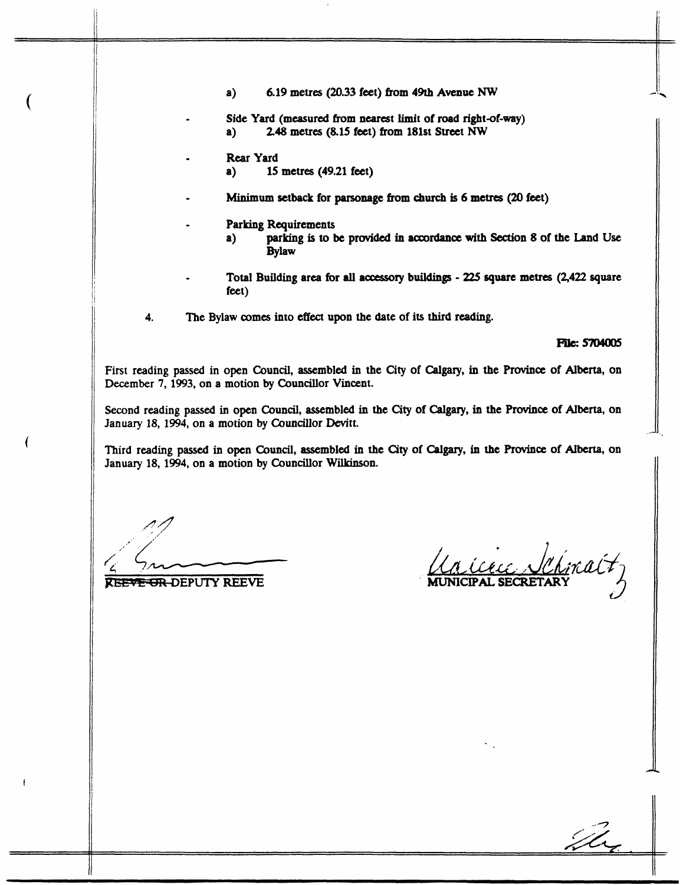- **a) 6.19 metres (20.33 feet) from 49th Avenue** *NW*
- Side Yard (measured from nearest limit of road right-of-way)<br>a) 2.48 metres (8.15 feet) from 181st Street NW **a) 248 metres (8.15 feet) from 181st Street** *NW*
- **Rear Yard** 
	- **a) 15 metres (49.21 feet)**
- **Minimum setback for parsonage from** church **is 6 metres** *(20* **feet)**
- **Parking Requirements** 
	- **a) parking is to be provided in accordance with Section 8 of the Land Use Bylaw**
- **Total Building area for all accessory buildings 225 square metres (2,422 square feet)**
- **4. The Bylaw comes into effect upon the date of its third reading.**

**File: 5704005** 

**First reading passed in open Council, assembled in the City of Calgary, in the** Province **of Alberta, on December 7, 1993, on a motion by Councillor Vincent.** 

**Second reading passed in open Council, assembled in the City of** *Calgary,* **in the Province of Alberta, on January 18, 1994, on a motion by Councillor Devitt.** 

**Third reading passed in open Council, assembled in the City of** Calgary, **in the** Province **of Alberta, on January 18, 1994, on a motion by Councillor Wilkinson.** 

**REEVE OR DEPUTY REEVE** 

La Cecc Schina (7

D.

*c*